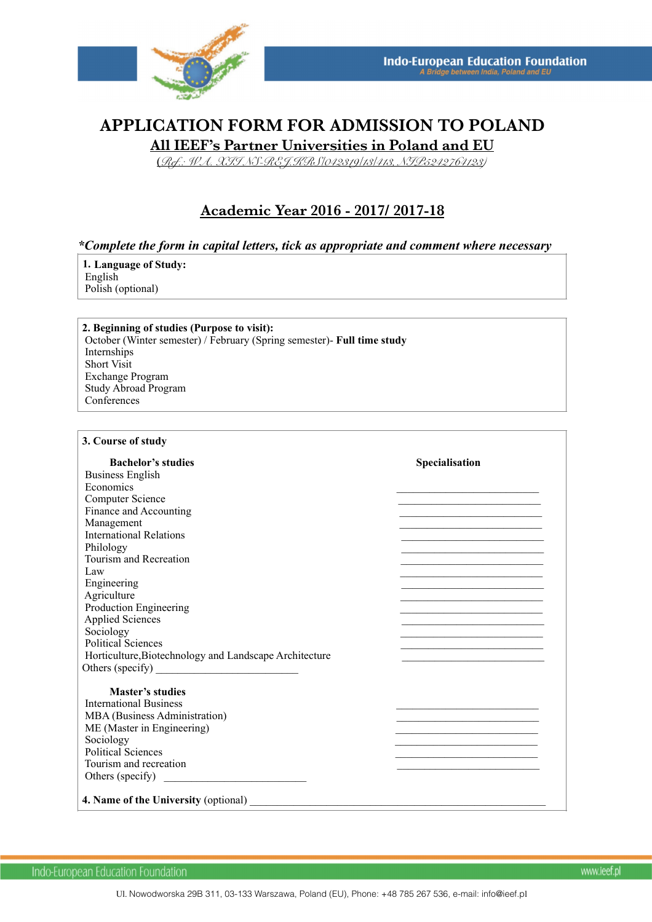

# **APPLICATION FORM FOR ADMISSION TO POLAND All IEEF's Partner Universities in Poland and EU**

(*Ref.: WA. XII NS-REJ.KRS/042319/13/413, NIP5242764123)* 

# **Academic Year 2016 - 2017/ 2017-18**

### *\*Complete the form in capital letters, tick as appropriate and comment where necessary*

**1. Language of Study:** English Polish (optional)

**2. Beginning of studies (Purpose to visit):** October (Winter semester) / February (Spring semester)- **Full time study**  Internships Short Visit Exchange Program Study Abroad Program **Conferences** 

#### **3. Course of study**

| <b>Bachelor's studies</b>                              | Specialisation                                                                                                  |
|--------------------------------------------------------|-----------------------------------------------------------------------------------------------------------------|
| <b>Business English</b>                                |                                                                                                                 |
| Economics                                              |                                                                                                                 |
| Computer Science                                       |                                                                                                                 |
| Finance and Accounting                                 | the contract of the contract of the contract of the contract of the contract of the contract of the contract of |
| Management                                             |                                                                                                                 |
| <b>International Relations</b>                         |                                                                                                                 |
| Philology                                              |                                                                                                                 |
| Tourism and Recreation                                 | the contract of the contract of the contract of the contract of the contract of the contract of the contract of |
| Law                                                    |                                                                                                                 |
| Engineering                                            |                                                                                                                 |
| Agriculture                                            |                                                                                                                 |
| Production Engineering                                 |                                                                                                                 |
| <b>Applied Sciences</b>                                |                                                                                                                 |
| Sociology                                              |                                                                                                                 |
| <b>Political Sciences</b>                              |                                                                                                                 |
| Horticulture, Biotechnology and Landscape Architecture |                                                                                                                 |
|                                                        |                                                                                                                 |
|                                                        |                                                                                                                 |
| <b>Master's studies</b>                                |                                                                                                                 |
| <b>International Business</b>                          |                                                                                                                 |
| MBA (Business Administration)                          |                                                                                                                 |
| ME (Master in Engineering)                             |                                                                                                                 |
| Sociology                                              | the contract of the contract of the contract of the contract of the contract of the contract of the contract of |
| <b>Political Sciences</b>                              |                                                                                                                 |
| Tourism and recreation                                 |                                                                                                                 |
| Others (specify)                                       |                                                                                                                 |
| 4. Name of the University (optional)                   |                                                                                                                 |